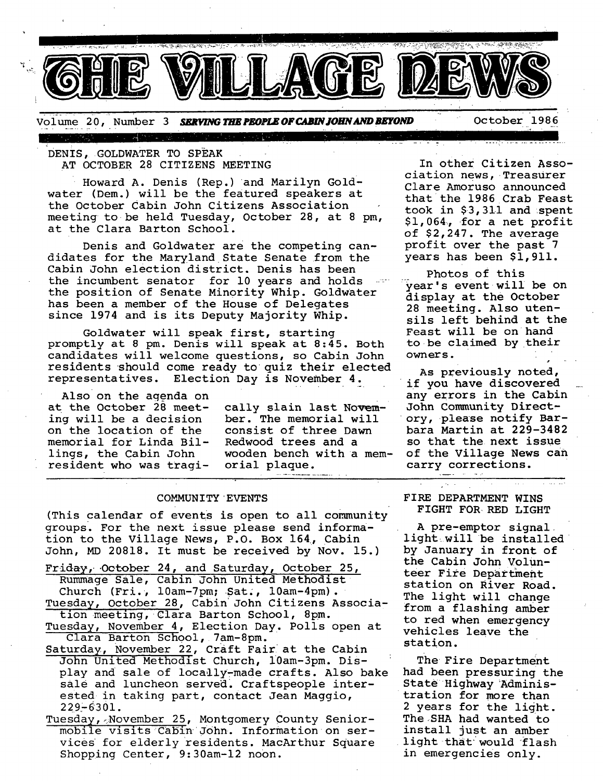

Volume 20, Number 3 *SERVING THE PEOPLE OF CABIN JOHN AND BEYOND* **Cotober 1986** 

:DENIS, GOLDWATER TO SPEAK AT OCTOBER 28 CITIZENS MEETING

TA MARTIN WAS ARRESTED FOR

Howard A. Denis (Rep.) and Marilyn Goldwater (Dem.) will be the featured speakers at the October Cabin John Citizens Association meeting to be held Tuesday, October 28, at 8 pm, at the Clara Barton School.

Denis and Goldwater are the competing candidates for the Maryland State Senate from the Cabin John election district. Denis has been the incumbent senator for 10 years and holds the position of Senate Minority Whip. Goldwater has been a member of the House of Delegates since 1974 and is its Deputy Majority Whip.

Goldwater will speak first, starting promptly at 8 pm. Denis will speak at 8:45. Both candidates will welcome questions, so Cabin John residents should come ready to quiz their elected representatives. Election Day is November 4.

Also on the agenda on at the October 28 meeting will be a decision on the location of the memorial for Linda Billings, the Cabin John resident who was tragi-

cally slain last November. The memorial will consist of three Dawn Redwood trees and a wooden bench with a memorial plaque.

### COMMUNITY EVENTS

(This calendar of events is open to all community groups. For the next issue please send information to the Village News, P.O. Box 164, Cabin John, MD 20818. It must be received by Nov. 15.)

Friday, October 24, and Saturday, October 25, Rummage Sale, Cabin John United Methodist Church (Fri., 10am-7pm; Sat., 10am-4pm). Tuesday, October 28, Cabin John Citizens Association meeting, Clara Barton School, 8pm. Tuesday, November 4, Election Day. Polls open at

Clara Barton School, 7am-8pm. Saturday, November 22, craft Fair at the Cabin John United Methodist Church, i0am-3pm. Display and sale of locally-made crafts. Also bake sale and luncheon served. Craftspeople inter-

ested in taking part, contact Jean Maggio,  $229 - 6301.$ 

Tuesday,~November 25, Montgomery County seniormobile visits Cabin John. Information on services for elderly residents. MacArthur Square Shopping Center, 9:30am-12 noon.

In other Citizen Association news, •Treasurer Clare Amoruso announced that the 1986 Crab Feast took in \$3,311 and spent \$i,064~, for a net profit of \$2,247. The average profit over the past 7 years has been \$1,911.

........ T " ..... ,~ ...................

Photos of this<br>year's event will be on display at the October 28 meeting. Also utensils left behind at the Feast will be on hand to be claimed by their owners.

As previously noted, if you have discovered any errors in the Cabin John Community Directory, please notify Barbara Martin at 229-3482 so that the next issue of the Village News can carry corrections.

وللاعتبار

FIRE DEPARTMENT WINS FIGHT FOR RED LIGHT

A pre-emptor signal. light will be installed by January in front of the Cabin John Volunteer Fire Department station on River Road. The light will change from a flashing amber to red when emergency vehicles leave the station.

The Fire Department had been pressuring the State Highway Administration for more than 2 years for the light. The SHA had wanted to install just an amber light that:would flash in emergencies only.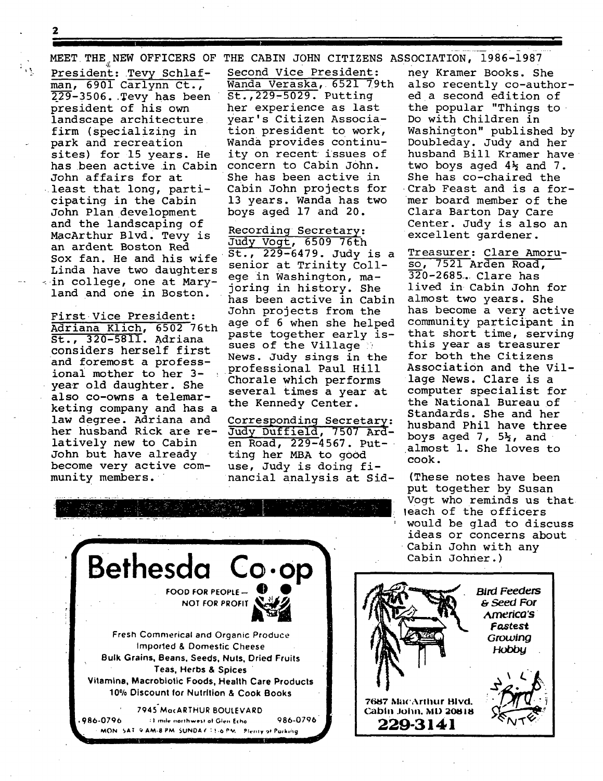**2** 

'!

**I** 

President: Tevy Schlafman, 6901 Carlynn Ct.,  $229-3506.$  Tevy has been president of his own landscape architecture firm (specializing in park and recreation sites) for 15 years. He has been active in Cabin concern to Cabin John. John affairs for at least that long, participating in the Cabin John Plan development and the landscaping of MacArthur Blvd. Tevy is Sox fan. He and his wife  $50.7229 - 6479$ . Judy is Linda have two daughters senior at Trinity Collin college, one at Mary- ege in Washington, maland and one in Boston.

considers herself first and foremost a professionai mother to her 3 year old daughter. She also co-owns a telemarketing company and has a law degree. Adriana and Corresponding Secretary:<br>her husband Rick are re- Judy Duffield, 7507 Ard-John but have already ting her MBA to good become very active com- use, Judy is doing fi-

MEET THE NEW OFFICERS OF THE CABIN JOHN CITIZENS ASSOCIATION, 1986-1987

Second vice President: Wanda Veraska, 6521 79th St., 229-5029. Putting her experience as last year's Citizen Association president to work, Wanda provides continuity on recent issues of She has been active in Cabin John projects for 13 years. Wanda has two boys aged 17 and 20.

Recording Secretary: an ardent Boston Red<br>an ardent Boston Red 5t., 229-6479. Judy is a has been active in Cabin First Vice President: John projects from the<br> $\frac{1}{2}$ <br> $\frac{1}{2}$ <br> $\frac{1}{2}$ <br> $\frac{1}{2}$ <br> $\frac{1}{2}$ <br> $\frac{1}{2}$ <br> $\frac{1}{2}$ <br> $\frac{1}{2}$ <br> $\frac{1}{2}$ <br> $\frac{1}{2}$ <br> $\frac{1}{2}$ <br> $\frac{1}{2}$ <br> $\frac{1}{2}$ <br> $\frac{1}{2}$ <br> $\frac{1}{2}$ <br> $\frac{1}{2}$ <br> $\frac{1}{2}$ <br> $\frac{1}{$ Adriana Klich, 6502 76th age of 6 when she helped St., 320-5811. Adriana paste together early issues of the Village ? News. Judy sings in the professional Paul Hill Chorale which performs several times a year at the Kennedy Center.

Judy Duffield, 7507 Ardlatively new to Cabin en Road, 229-4567. Putmunity members, nancial analysis at Sid-

ney Kramer Books. She also recently co-authored a second edition of the popular "Things to Do with Children in Washington" published by Doubleday. Judy and her husband Bill Kramer have two boys aged 4% and 7. She has co-chaired the Crab Feast and is a former board member of the Clara Barton Day Care Center. Judy is also an excellent gardener.

Treasurer: Clare Amoruso, 7521 Arden Road, 320-2685. Clare has lived in Cabin John for almost two years. She has become a very active community participant in that short time, serving this year as treasurer for both the Citizens Association and the Village News. Clare is a computer specialist for the National Bureau of Standards. She and her husband Phil have three boys aged  $7, 5\frac{1}{2},$  and almost i. She loves to cook.

(These notes have been put together by Susan Vogt who reminds us that leach of the officers ' would be glad to discuss ideas or concerns about Cabin John with any Cabin Johner.)



*Bird Feeders rs Seed* **For**  *America's Fo.stest Growing*  **Hobby 76ei7** Ma('Arthur Blvd. **C3bln Jolln, ML) 20818** 

**229-3141**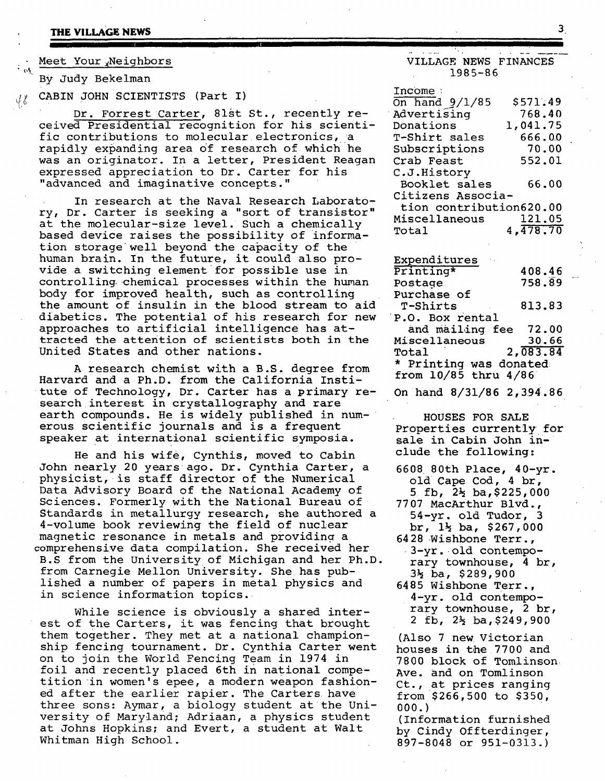**THE VILLAGE NEWS** 3.

#### Meet Your Neighbors

By Judy Bekelman

 $\mathcal{H}$  CABIN JOHN SCIENTISTS (Part I)

Dr. Forrest Carter, 81st St., recently received Presidential recognition for his scientific contributions to molecular electronics, a rapidly expanding area of research of which he was an originator. In a letter, President Reagan expressed appreciation to Dr. Carter for his "advanced and imaginative concepts."

In research at the Naval Research Laboratory, Dr. Carter is seeking a "sort of transistor" at the molecular-size level. Such a chemically based device raises the possibility of information storage well beyond the capacity of the human brain. In the future, it could also provide a switching element for possible use in controlling chemical processes within the human body for improved health, such as controlling the amount of insulin in the blood stream to aid diabetics. The potential of his research for new approaches to artificial intelligence has attracted the attention of scientists both in the United States and other nations.

A research chemist with a B.S. degree from Harvard and a Ph.D. from the California Institute of Technology, Dr. Carter has a primary research interest in crystallography and rare earth compounds. He is widely published in numerous scientific journals and is a frequent speaker at international scientific symposia.

He and his wife, Cynthis, moved to Cabin John nearly 20 years ago. Dr. Cynthia Carter, a physicist, is staff director of the Numerical Data Advisory Board of the National Academy of Sciences. Formerly with the National Bureau of Standards in metallurgy research, she authored a 4-volume book reviewing the field of nuclear magnetic resonance in metals and providing a comprehensive data compilation. She received her B.S from the University of Michigan and her Ph.D. from Carnegie Mellon University. She has published a number of papers in metal physics and in science information topics.

While science is obviously a shared interest of the Carters, it was fencing that brought them together. They met at a national championship fencing tournament. Dr. Cynthia Carter went on to join the World Fencing Team in 1974 in foil and recently placed 6th in national competition in women's epee, a modern weapon fashioned after the earlier rapier. The Carters have three sons: Aymar, a biology student at the University of Maryland; Adriaan, a physics student at Johns Hopkins; and Evert, a student at Walt Whitman High School.

## VILLAGE NEWS FINANCES 1985-86

| Income:                 |          |
|-------------------------|----------|
| On hand $9/1/85$        | \$571.49 |
| Advertising             | 768.40   |
| Donations               | 1,041.75 |
| T-Shirt sales           | 666.00   |
| Subscriptions           | 70.00    |
| Crab Feast              | 552.01   |
| C.J.History             |          |
| Booklet sales           | 66.00    |
| Citizens Associa-       |          |
| tion contribution620.00 |          |
| Miscellaneous           | 121.05   |
| Total                   | 4,478,70 |

| Expenditures             |          |
|--------------------------|----------|
| Printing*                | 408.46   |
| Postage                  | 758.89   |
| Purchase of              |          |
| T-Shirts                 | 813.83   |
| P.O. Box rental          |          |
| and mailing fee 72.00    |          |
| Miscellaneous            | 30.66    |
| Total                    | 2,083.84 |
| * Printing was donated   |          |
| from $10/85$ thru $4/86$ |          |

On hand 8/31/86 2, 394.86

**HOUSES FOR SALE**  Properties currently for sale in Cabin John include the following:

- 6608 80th Place, 40-yr. old Cape Cod, 4 br, 5 fb,  $2\frac{1}{2}$  ba, \$225,000
- 7707 MacArthur Blvd., 54-yr. old Tudor, 3 br,  $1\frac{1}{2}$  ba, \$267,000
- 6428 Wishbone Terr., 3-yr.+old contemporary townhouse, 4 br, 3% ba, \$289,900
- 6485 Wishbone Terr., 4-yr. old contemporary townhouse, 2 br, 2 fb, 2% ba,\$249,900

(Also 7 new Victorian houses in the 7700 and 7800 block of Tomlinson Ave. and on Tomlinson Ct., at prices ranging from \$266,500 to \$350, 000.)

(Information furnished by Cindy Offterdinger, 897-8048 or 951-0313.)